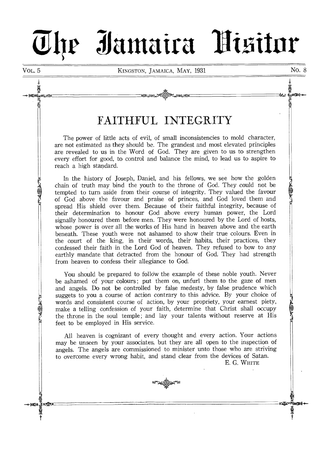# **04r - 5J antaira** i3 i~itnr

À

**LES** 

ta€al

# FAITHFUL INTEGRITY

The power of little acts of evil, of small inconsistencies to mold character, are not estimated as they should be. The grandest and most elevated principles are revealed to us in the Word of God. They are given to us to strengthen every effort for good, to control and balance the mind, to lead us to aspire to reach a high standard.

In the history of Joseph, Daniel, and his fellows, we see how the golden chain of truth may bind the youth to the throne of God. They could not be tempted to turn aside from their course of integrity. They valued the favour of God above the favour and praise of princes, and God loved them and spread His shield over them. Because of their faithful integrity, because of their determination to honour God above every human power, the Lord signally honoured them before men. They were honoured by the Lord of hosts, whose power is over all the works of His hand in heaven above and the earth beneath. These youth were not ashamed to show their true colours. Even in the court of the king, in their words, their habits, their practices, they confessed their faith in the Lord God of heaven. They refused to bow to any earthly mandate that detracted from the honour of God. They had strength from heaven to confess their allegiance to God.

You should be prepared to follow the example of these noble youth. Never be ashamed of your colours ; put them on, unfurl them to the gaze of men and angels. Do not be controlled by false medesty, by false prudence which suggets to you a course of action contrary to this advice. By your choice of words and consistent course of action, by your propriety, your earnest piety, make a telling confession of your faith, determine that Christ shall occupy the throne in the soul temple ; and lay your talents without reserve at His feet to be employed in His service.

All heaven is cognizant of every thought and every action. Your actions may be unseen by your associates. but they are all open to the inspection of angels. The angels are commissioned to minister unto those who are striving to overcome every wrong habit, and stand clear from the devices of Satan.

E. G. WHITE

rCNmG SS

ğ

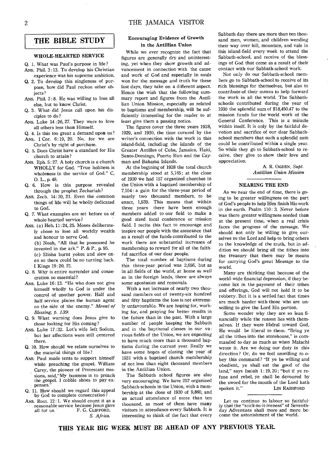**THE BIBLE STUDY** 

# WHOLE-HEARTED SERVICE

Q. I. What was Paul's purpose in life? ANS. Phil. 3:13. To develop his Christian experience was his supreme ambition.

- Q. 2. To develop this singleness of purpose, how did Paul reckon other objects?
- ANS. Phil. 3 :8. He was willing to lose all else, but to know Christ.
- Q. 3. What- did Jesus call upon his disciples to do ?
- ANs. Luke 14 :26, 27. They were to love all others less than Himself.
- Q. 4. Is this too great a demand upon us? ANs. I Cor. 6:19, 20. No, for we are
- Christ's by right of purchase.
- Q. 5. Does Christ have a standard for His church to attain?
- ANs. Eph. 5:27. A holy church is a church WHOLLY for God. "True holiness is wholeness in the service of God." C, 0. L., p. 48.
- Q. 6. How is this purpose revealed through the prophet Zechariah?
- ANS. Zech. 14:20, 21. Even the common things of life will be wholly dedicated to God.
- Q. 7. What examples are set before us of whole-hearted service?
- ANs. (a) Heb. 11:24, 25. Moses deliberately chose to lose all worldly wealth and honour to serve God. (b) Noah, "All that he possessed he
	- invested in the ark." P. & P., p. 95.

(c) Elisha burnt yokes and slew oxen so there could be no turning back. I Kings 19:20, 21.

- Q. 8. Why is entire surrender and consecration so essential?
- Ans. Luke 16:13. "He who does not give himself wholly to God is under the control of another power. Half and half service places the human agent on the side of the enemy." *Mount of Blessing, p. 139.*
- Q. 9. What warning does Jesus give to those looking for His coming?
- ANS. Luke 17:32. Lot's wife left Sodom, but her affections were still centered there.
- Q. 10. How should we relate ourselves to the material things of life?
- ANS. Paul made tents to support himself while preaching the gospel. William Carey, the pioneer of Protestant missions, said,"My business is to preach the gospel. I cobble shoes to pay expenses.
- Q. 11. How should we regard this appeal by God to complete consecration ?
- ANS. Rom. 12:1. We should count it as a reasonable service because Jesus gave<br>all for us. F. G. CLIFFORD, F. G. CLIFFORD, *S. Africa.*

# Encouraging Evidence of Growth in the Antillian Union

While we ever recognize the fact that figures are generally dry and uninteresting, yet when they show growth and advancement in connection with the cause and work of God and especially in souls won for the message and truth for these last days, they take on a different aspect. Hence the wish that the following summary report and figures from the Antillian Union Mission, especially as related to baptisms and membership, will be sufficiently interesting for the reader to at least give them a passing notice.

The figures cover the three years 1928, 1929, and 1930, the time covered by the writer's connection with the work in this island-field, includiug the islands of the Greater Antilles of Cuba, Jamaica, Haiti, Santo-Domingo, Puerto Rico and the Cayman and Bahama Islands.

At the begining of 1928 the total church membership stood at 5,165; at the close of 1930 we had 157 organized churches in the Union with a baptized membership of 7,104: a gain for the three-year period of nearly two thousand members, to be exact, 1,939. This means that within three years there have been enough members added to our field to make a good sized local conference or mission field. I recite this fact to encourage and inspire our people with the assurance that as a result of the funds contributed to the work there are substantial increases of membership to reward for all of the faithful sacrifice of our dear people.

The total number of baptisms during this three-year period was 2,656, but as in all fields of the world, at home as well as in the foreign lands, there are always some apostasies and removals.

With a net increase of nearly two thousand members out of twenty-six hundred and fifty baptisms the loss is not extremely unfavourable. We are hoping for, working for, and praying for better results in the future than in the past. With a large number of people keeping the Sabbath and in the baptismal classes in our various fields of the Union, we are expecting to have much more than a thousand baptisms during the current year. Really we have some hopes of closing the year of 1931 with a baptized church membership of not less than eight thousand members in the Antillian Union.

The Sabbath school figures are also very encouraging. We have 257 organized Sabbath-schools in the Union, with a membership at the close of 1930 of 9,860, and an actual attendance of more than ten thousand, as most of them have many visitors in attendance every Sabbath. It is interesting to think of the fact that every

Sabbath day there are more than ten thousand men, women, and children wending their way over hill, mountain, and vale in this island-field every week to attend the Sabbath-school, and receive of the blessings of God that come as a result of their contact with our Sabbath-school work.

Not only do our Sabbath-school members go to Sabbath-school to receive of its rich blessings for themselves, but also to contribute of their means to help forward the work in all the world. The Sabbathschools contributed during the year of 1930 the splendid sum of \$18,450.47 to the mission funds for the world work of the General Conference. This is a miracle within itself. It is only by the faithful devotion and sacrifice of our dear Sabbathschool members that such a splendid sum could be contributed within a single year. So while they go to Sabbath-school to receive, they give to show their love and appreciation.

> A. R. OGDEN, *Supt. Antillian Union Mission*

## NEARING THE END

As we near the end of time, there is going to be greater willingness on the part of God's people to help Him finish His work in the earth. Psalm 110: 3. Never before was there greater willingness needed than at the present time, when a real crisis faces the progress of the message. We should not only be willing to give ourselves to the Lord and help to bring others to the knowledge of the truth, but in addition we should bring all the tithes into the treasury that there may be means for carrying God's great Message to the world.

Many are thinking that because of the world-wide financial depression, if they become lax in the payment of their tithes and offerings, God will not hold it to be robbery. But it is a settled fact that times are much harder with those who are unwilling to give the Lord His portion.

Some wonder why they are so lean financially while the reason lies with themselves. If they were libdral toward God, He would be liberal to them. "Bring ye all the tithes into the storehouse," is commanded to-day as much as when Malachi wrote it. Are we doing our duty in this direction? Or, do we feel unwilling to obey this command? "If ye be willing and obedient, ye shall eat the good of the land," says Isaiah  $1:19,20$ ; "but if ye refuse and rebel, ye shall be devoured by the sword for the mouth of the Lord bath spoken it." LIN RASHFORD

Let us continue to labour so faithfuliy that the "stick-to-it-iveness" of Seventhday Adventists shall more and more become the astonishment of the world.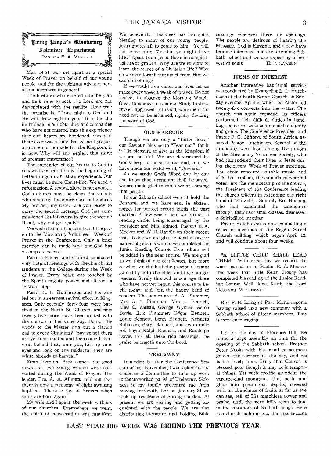

Mar. 14-21 was set apart as a special Week of Prayer on behalf of our young people, and for the spiritual advancement of our members in general.

The brethren who entered into the plan and took time to seek the Lord are not disappointed with the results. How true the promise is, "Draw nigh to God and He will draw nigh to you." It is for the individuals in our churches and companies who have not entered into this experience that our hearts are burdened. Surely if there ever was a time that earnest preparation should be made for the Kingdom, it is now. Why will any neglect this thing of greatest importance?

The surrender of our hearts to God in renewed consecration is the beginning of better things in Christian experience. Our lives must be more Christ-like. We need a reformation. A revival alone is not enough. God's church must be clean. Individuals who make up the church are to be clean. My brother, my sister, are you ready to carry the sacred message God has commissioned His followers to give the world ? If not, why not get ready?

We wish that a full account could be given to the Missionary Volunteer Week of Prayer in the Conference. Only a brief mention can be made here, but God has a complete record.

Pastors Edmed and Clifford conducted very helpful meetings with the church and students at the College during the Week of Prayer. Every heart was touched by the Spirit's mighty power, and all took a forward step.

Pastor L. L. Hutchinson and his wife led out in an earnest revival effort in Kingston. Only recently forty-four were baptized in the North St. Church, and now twenty-five more have been united with the church in the same way. Do not the words of the Master ring out a clarion call to every Christian? "Say ye not there are yet four months and then cometh harvest, behold I say unto you, Lift up your eyes and look on the fields; for they are white already to harvest."

From Everton Park comes the good news that two young women were converted during the Week of Prayer. The leader, Bro. A. A. Allman, told me that there is now a company of eight awaiting baptism. There is joy in heaven when souls are born again.

My wife and I spent the week with six of our churches. Everywhere we went, the spirit of consecration was manifest.

We believe that this week has brought a blessing to many of cur young people. Jesus invites all to come to him. "Ye will not come unto Me that ye might have life!" Apart from Jesus there is no spiritual life or growth. Why are we so slow to learn the secret of a Christian life? Why do we ever forget that apart from Him we can do nothing?

If we would live victorious lives let us make every week a week of prayer. Do not neglect to observe the Morning Watch. Give attendance to reading. Study to shew thyself approved unto God, workmen that need not to be ashamed, rightly dividing the word of God.

#### OLD HARBOUR

Though we are only a "Little flock." our Saviour bids us to "Fear not," for it is His pleasure to give us the kingdom if we are faithful. We are determined by God's help to be so to the end, and we have made our watchword, "Onward."

As we study God's Word day by day and know that a remnant shall be saved, we are made glad to think we are among that people.

In our Sabbath school we still hold the Pennant, and we have sent in sixteen names for perfect record cards the past quarter. A few weeks ago, we formed a reading circle, being encouraged by the President and Mrs. Edmed, Pastors B. A. Meeker and W. H. Randle on their recent visit. Today we are glad to send in twelve names of persons who have completed the Junior Reading Course. Two others will be added in the near future. We are glad as we think of our certificates, but more so when we think of the precious lessons gained by both the older and the younger readers. Surely this will encourage those who have not yet begun this course to begin today, and join the happy band of readers. The names are : A. A. Plummer, Mrs. A. A. Plummer, Mrs. L. Bennett, Miss C. Vassall, George Wynter, Aston Davis, Eric Plummer, Edgar Bennett, Louie Bennett, Lenn Bennett, Kenneth Robinson, Beryl Bennett, and two cradle roll boys: Ralph Bennett, and Randolph Davis. For all these rich blessings, the praise belongeth unto the Lord.

#### TRELA WNY

Immediately after the Conference Session of last November, I was asked by the Conference Committee to take up work in the unworked parish of Trelawny. Sickness in my family prevented me from moving forthwith, but on January 21 we took up residence at Spring Garden. At present we are visiting and getting acquainted with the people. We are also distributing literature, and holding Bible readings wherever there are openings. The people are desirous of hearir g the Message. God is blessing, and a few have become interested and are attending Sabbath school and we are expecting a harvest of souls. H. P. LAWSON

#### ITEMS OF INTEREST

Another impressive baptismal service was conducted by Evangelist L. L. Hutchinson at the North Street Church on Sunday evening, April 5, when the Pastor led twenty-five converts into the water. The church was again crowded. Its officers performed their difficult duties in handling the crowd with commendable dignity and grace. The Conference President and Pastor F. G. Clifford, of South Africa, assisted Pastor Hutchinson. Several of the candidates were from among the juniors of the Missionary Volunteer Society, who had surrendered their lives to Jesus during the recent Week of Prayer meetings. The choir rendered suitable music, and after the baptism, the candidates were all voted into the membership of the church, the President of the Conference leading the church officers in extending the right hand of fellowship. Suitably Bro. Hudson, who had conducted the candidates through their baptismal classes, dismissed a Spirit-filled meeting.

Pastor Hutchinson is now conducting a series of meetings in the Regent Street Church building, which began April 12, and will continue about four weeks.

"A LITTLE CHILD SHALL LEAD THEM." With great joy we record the word passed on to Pastor B. A. Meeker this week that little Keith Crosby has completed his reading of the Junior Reading Course. Well done, Keith, the Lord bless you. WHO NEXT?

Bro. F. H. Laing of Port Maria reports having raised up a new company with a Sabbath school of fifteen members. This is very encouraging.

Up for the day at Florence Hill, we found a large assembly on time for the opening of the Sabbath school. Brother Peter Nooks with his usual earnestness guided the services of the day, and we had a lovely time. Truly that Church is blessed, poor though it may be in temporal things. Yet with prolific grandeur the verdure-clad mountains that peak and glide into precipitous depths, covered with an abundance of fruits as far as eye can see, tell of His matchless power and praise, until the very hills seem to join in the vibrations of Sabbath songs. Here is a church building too, that has become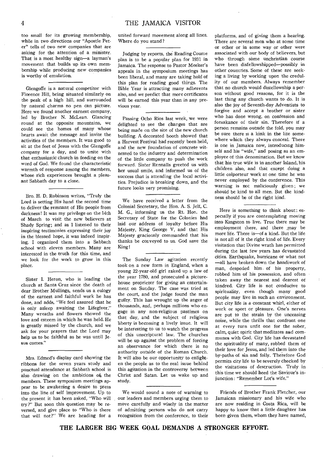too small for its growing membership, while in two directions our "Apostle Peter" tells of two new companies that are asking for the attention of a minister. That is a most healthy sign—a layman's movement that builds up its own membership while producing new companies is worthy of emulation.

Glengoffe is a natural competitor with Florence Hill, being situated similarly on the peak of a high hill, and surrounded by natural charms no pen can picture. Here we found another earnest company, led by Brother N. McLean. Glancing round at the opposite mountains, we could see the homes of many whose hearts await the message and invite the activities of the members. It was good to sit at the feet of Jesus with the Glengoffe company for a day, and to unite with that enthusiastic church in feeding on the word of God. We found the characteristic warmth of response among the members, whose rich experiences brought a pleasant Sabbath day to a close.

Bro. H. D. Robinson writes, "Truly the Lord is setting His hand the second time to deliver the remnant of His people from darkness! It was my privilege on the 14th of March to visit the new believers at Shady Spring; and as I listened to their inspiring testimonies expressing their joy in the blessed hope, it was indeed inspiring. I organized them into a Sabbath school with eleven members. Many are interested in the truth for this time, and we look for the work to grow in this place.

Sister I. Heron, who is leading the church at Santa Cruz since the death of dear Brother Mullings, sends us a eulogy of the earnest and faithful work he has done, and adds, "We feel assured that he is only asleep awaiting the Lifegiver." Many wreaths and flowers showed the love and esteem in which he was held. He is greatly missed by the church, and we ask for your prayers that the Lord may help us to be faithful as he was until Jesus comes."

Mrs. Edmed's display card showing the ribbons for the seven years study and punctual attendance at Sabbath school is also drawing on the ambitions of the members. These symposium meetings appear to be awakening a desire to press into the line of self improvement. Up to the present it has been asked, "Who will try ?" But soon this question may be reversed, and give place to "Who is there that will not?" We are heading for a

united forward movement along all lines. Where do you stand ?

Judging by reports, the Reading Course plan is to be a popular plan for 1931 in Jamaica. The response to Pastor Meeker's appeals in the symposium meetings has been liberal, and many are taking hold of this plan for reading good things. The Bible Year is attracting many adherents also, and we predict that more certificates will be earned this year than in any previous year.

Passing Ocho Rios last week, we were delighted to see the changes that are being made on the site of the new church building. A decorated booth showed that a Harvest Festival had recently been held, and the new foundation of concrete witnessed to the industry and determination of the little company to push the work forward. Sister Rennalls greeted us with her usual smile, and informed us of the success that is attending the local activities. Prejudice is breaking down, and the future looks very promising.

We have received a letter from the Colonial Secretary, the Hon. A. S. Jelf, C. M. G., informing us the Rt. Hon. the Secretary of State for the Colonies had laid our address of loyalty before His Majesty, King George V, and that His Majesty graciously commanded that his thanks be conveyed to us. God save the King!

The Sunday Law agitation recently took on a new form in England, when a young 22-year-old girl raked up a law of the year 1780, and prosecuted a picturehouse proprieter for giving an entertainment on Sunday. The case was tried at the court, and the judge found the man guilty. This has wrought up the anger of thousands, and, perhaps millions who engage in any non-religious pastimes on that day, and the subject of religious liberty is becoming a lively issue. It will be interesting to us to watch the progress of this unscriptural law. The churches will be up against the problem of forcing an observance for which there is no authority outside of the Roman Church. It will also be our opportunity to enlighten the people as to the real issue behind this agitation in the controversy between Christ and Satan. Let us wake up and study.

We would sound a note of warning to our leaders and members urging them to move carefully and wisely in the matter of admitting persons who do not carry recognition from the conference, to their

platforms, and of giving them a hearing. There are several men who at some time or other or in some way or other were associated with our body of believers, but who through some unchristian course have been disfellowshipped—possibly in other countries. Some of these are seeking a living by working upon the credulity of our members. Always remember that no church would distellowship a person without good reasons, for it is the last thing any church wants to do. It is also the joy of Seventh-day Adventists to forgive and accept a brother or sister who has done wrong, on confession and forsakance of their sin. Therefore if a person remains outside the fold, you may be sure there is a kink in the life somewhere which they always conceal. There is one in Jamaica now, introducing himself and his "wife," and posing as an employee of this denomination. But we know that his true wife is in another Island, his children also, and that except doing a little colporteur work at one time he was never employed by the conference. This warning is not maliciously given ; we should be kind to all men. But the kindness should be of the right kind.

Here is something to think about: especially if you are contemplating moving into Kingston to live. True there may be employment there, and there may be more life. There is—of a kind. But the life is not all of it the right kind of life. Every visitation that Divine wrath has permitted during the last few years has devastated cities. Earthquake, hurricane or what not —all have broken down the handiwork of man, despoiled him of his property, robbed him of his possession, and often taken away the nearest and dearest of kindred. City life is not conducive to spirituality, even though many good people may live in such an environment. But city life is a constant whirl, either of work or sport or pleasure. One's nerves are put to the strain by the unceasing noise, while the thrills that confront one at every turn unfit one for the sober, calm, quiet spirit that meditates and communes with God. City life has devastated the spirituality of many, robbed them of their love for Jesus, and led them into the by-paths of sin and folly. Therefore God permits city life to be severely checked by the visitations of destruction. Truly in this time we should heed the Saviour's injunction: "Remember Lot's wife."

Friends of Brother Frank Fletcher, our Jamaican missionary and his wife who are now residing in Costa Rica, will be happy to know that a little daughter has been given them, whom they have named,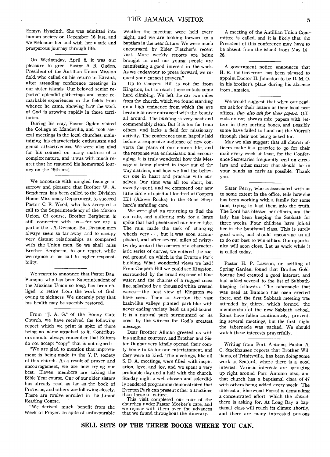Ermyn Hyacinth. She was admitted into human society on December 16 last, and we welcome her and wish her a safe and prosperous journey through life.

On Wednesday, April 8, it was our pleasure to greet Pastor A. R. Ogden, President of the Antillian Union Mission field, who called on his return to Havana, after attending conference meetings in our sister islands. Our beloved senior reported splendid gatherings and some remarkable experiences in the fields from whence he came, showing how the work of God is growing rapidly in those territories.

During his stay, Pastor Ogden visited the College at Mandeville, and took several meetings in the local churches, maintaining his characteristic enthusiasm and genial attractiveness. We were also glad for his counsel on many matters of a complex nature, and it was with much regret that he resumed his homeward journey on the 15th inst.

We announce with mingled feelings of sorrow and pleasure that Brother W. A. Bergherm has been called to the Division Home Missionary Department, to succeed Pastor C. E. Wood, who has accepted a call to the Superintendency of the Mexico Union. Of course, Brother Bergherm is still connected with us—for we are a part of the I. A. Division. But Division men always seem so far away, and to occupy very distant relationships as compared with the Union men. So we shall miss Brother Bergherm, to our regret, while we rejoice in his call to higher responsibility.

We regret to announce that Pastor Dan. Parsons, who has been Superintendent of the Mexican Union so long, has been obliged to retire from the work of God, owing to sickness. We sincerely pray that his health may be speedily restored.

From "J. A. G." of the Bonny Gate Church, we have received the following report which we print in spite of there being no name attached to it. Contributors should always remember that Editors do not accept "copy" that is not signed:

"We are glad to mention that improvement is being made in the Y. P. society of this church. As a result of prayer and encouragement, we are now trying our best. Eleven members are taking the Bible Year course. One of our older sisters has already read as far as the book of Proverbs, and others are following closely. There are twelve enrolled in the Junior Reading Course.

"We derived much benefit from the Week of Prayer. In spite of unfavourable weather the meetings were held every night, and we are looking forward to a baptism in the near future. We were much encouraged by Elder Fletcher's recent visit. More weekly reports are being brought in and our young people are manifesting a good interest in the work. As we endeavour to press forward, we request your earnest prayers."

Up to Coopers Hill is not far from Kingston, but to reach there entails some hard climbing. We left the car two miles from the church, which we found standing on a high eminence from which the eye became at once entranced with the beauty all around. The building is very neat and commendably clean. But it is too far from others, and lacks a field for missionary activity. The conference team happily laid before a responsive audience of new converts the plans of our church life, and the response was enthusiastic and encouraging. It is truly wonderful how this Message is being planted in those out of the way districts, and how we find the believers one in heart and practice with ourselves. Our time was all too short, but sweetly spent, and we commend our new little circle of spiritual kindred at Coopers Hill (Above Rocks) to the Good Shepherd's unfailing care.

We were glad on returning to find the car safe, and suffering only for a large spike that had penetrated our inner tube. The rain made the task of changing wheels very - - , but it was soon accomplished, and after several miles of twistytwirley around the corners of a characteristic series of curves, we entered the sacred ground on which is the Everton Park building. What wonderful views we had! From Coopers Hill we could see Kingston, surrounded by the broad expanse of blue water, and the charms of a rugged coast line, splashed by a thousand white crested waves — the best view of Kingston we have seen. Then at Everton the vast basin-like valleys planted park-like with never ending variety held us spell-bound. It is a natural park surmounted on its crest by the witness for God's greatest message.

Dear Brother Allman greeted us with his smiling courtesy, and Brother and Sister Dunbar very kindly opened their comfy home to us for our entertainment, and they were so kind. The meetings, like all S. D. A. meetings, were filled with inspiration, love, and joy, and we spent a very profitable day and a half with the church. Sunday night a well chosen and splendidly rendered programme demonstrated that Everton Park can present other attractions than those of nature.

This visit completed our tour of the churches under Pastor Meeker's care, and we rejoice with them over the advances that we found throughout the itinerary.

A meeting of the Antillian Union Com-• mittee is called, and it is likely that the President of this conference may have to be absent from the island from May 14 — 28.

A government notice announces that H. E. the Governor has been pleased to appoint Doctor H. Johnston to be D. M. 0. in his brother's place during his absence from Jamaica.

We would suggest that when our readers ask for their letters at their local post offices, *they also ask for their papers.* Officials do not always mix papers with letters in their sorting boxes, and possibly some have failed to hand out the VISITOR through their not being asked for.

May we also suggest that all church officers make it a practice to go for their mail every week at least, for the Confer. ence Secretaries frequently send on circulars and other matter that should be in your hands as early as possible. Thank you.

Sister Perry, who is associated with us to some extent in the office, tells how she has been working with a family for some time, trying to lead them into the truth. The Lord has blessed her efforts, and the lady has been keeping the Sabbath for three weeks. Four children have joined her in the baptismal class. This is surely good work, and should encourage us all to do our best to win others. Our opportunity will soon close. Let us work while it is called today.

Pastor H. P. Lawson, on settling at Spring Garden, found that Brother Goldbourne had created a good interest, and had added several to the list of Sabbathkeeping followers. The tabernacle that was used at Bamboo has been erected there, and the first Sabbath meeting was attended by thirty, which formed the membership of the new Sabbath school. Rains have fallen continuously, preventing several meetings, but the first night the tabernacle was packed. We should watch these interests prayerfully.

Writing from Port Antonio, Pastor A. C. Stockhausen reports that Brother Williams, of Trinityville, has been doing some work at Seaford, where there is a good interest. Various interests are springing up right around Port Antonio also, and that church has a baptismal class of 47 with others being added every week. The interest at Sherwood Forest is demanding a concentrated effort, which the church there is asking for. At Long Bay a baptismal class will reach its climax shortly, and there are many interested persons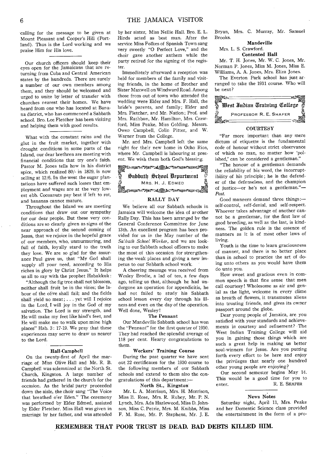calling for the message to be given at Mount Pleasant and Cooper's Hill (Portland). Thus is the Lord working and we praise Him for His love.

Our church officers should keep their eyes open for the Jamaicans that are returning from Cuba and Central American states by the hundreds. There are surely a number of our own members among them, and they should be welcomed and urged to unite by letter of transfer with churches nearest their homes. We have heard from one who has located at Banana district, who has commenced a Sabbath school. Bro. Lee Fletcher has been visiting and helping them with good results.

What with the constant rains and the glut in the fruit market, together with drought conditions in some parts of the Island, our dear brethren are meeting with financial conditions that try one's faith. Pastor M. Jones tells how in his district spice, which realized 80/- in 1829, is now selling at 12/6. In the west the sugar plantations have suffered such losses that employment and wages are at the very lowest ebb. Cocoanuts pay best if left to rot, and bananas cannot mature.

Throughout the Island we are meeting conditions that draw out our sympathy for our dear people. But these very conditions are so clearly given as signs of the near approach of the second coming of Jesus, that we rejoice in the hopeful grace of our members, who, unmurmuring, and full of faith, loyally stand to the truth they love. We are so glad for the assurance Paul gave us, that "My God shall supply all your need, according to His riches in glory by Christ Jesus." It helps us all to say with the prophet Habakkuk :

"Although the fig tree shall not blossom, neither shall fruit be in the vines; the labour of the olive shall fail; and the fields shall yield no meat; . . . yet will I rejoice in the Lord, I will joy in the God of my salvation. The Lord is my strength, and He will make my feet like hind's feet, and He will make me to walk upon mine high places" Hab. 3: 17-19. We pray that these experiences may serve to draw us nearer to the Lord.

#### Hall-Campbell

On the twenty-first of April the marriage of Miss Olive Hall and Mr. R. B. Campbell was solemnized at the North St. Church, Kingston. A large number of friends had gathered in the church for the occasion. As the bridal party proceeded down the aisle, the choir sang "The Voice that breathed o'er Eden." The ceremony was performed by Elder Edmed, assisted by Elder Fletcher. Miss Hall was given in marriage by her father, and was attended by her sister, Miss Nellie Hall. Bro. E. L. Hinds acted as best man. After the service Miss Folkes of Spanish Town sang very sweetly "0 Perfect Love," and the choir gave another anthem while the party retired for the signing of the register.

Immediately afterward a reception was held for members of the family and visiting friends, in the home of Brother and Sister Maxwell on Windward Road. Among those from out of town who attended the wedding were Elder and Mrs. F. Hall, the bride's parents, and family; Elder and Mrs. Fletcher, and Mr. Nation; Prof. and Mrs. Rathbun, Mr. Hamilton, Mrs. Crawford, Miss Peake, Miss Golding, Messrs. Owen Campbell, Colin Pitter, and W. Warner from the College.

Mr. and Mrs. Campbell left the same night for their new home in Ocho Rios, where Mr. Campbell is labouring at present. We wish them both God's blessing.



#### RALLY DAY

We believe all our Sabbath schools in Jamaica will welcome the idea of another Rally Day. This has been arranged by the General Conference Committee for June 13th. An excellent program has been provided for us in the May number of the *Sa'hath School Worker,* and we are looking to our Sabbath school officers to make the most of this occasion for strengthening the weak places and giving a new impetus to our Sabbath school work.

A cheering message was received from Wesley Brodie, a lad of ten, a few days ago, telling us that, although he had undergone an operation for appendicitis, he had not failed to study his Sabbath school lesson every day through his illness and even on the day of the operation. Well done, Wesley!

#### The Pennant

Our Mandeville Sabbath school has won the "Pennant" for the first quarter of 1930. They had reached the splendid average of 118 per cent. Hearty congratulations to them.

#### Workers' Training Course

During the past quarter we have sent out 22 certificates for the 1930 course to the following members of our Sabbath schools and extend to them also the congratulations of this department:—

#### North St., Kingston'

Mr. L. A. Morrison, Mrs. H. Morrison, Miss B. Rose, Mrs. R. Rubey, Mr. P. N. Lynch, Mrs. Ada Hazlewood, Miss D. Johnson, Miss C. Petrie, Mrs. M. Knibbs, Miss F. M. Rose, Mr. P. Stephens, Mr. J. E. Bryan, Mrs. C. Murray, Mr. Samuel Brooks.

Mandeville

Mrs. L. S. Crawford.

Contented Hall

Mr. T. H. Jones, Mr. W. C. Jones, Mr. Norman P. Jones, Miss M. Jones, Miss E. Williams, A. A. Jones, Mrs. Eliza Jones.

The Everton Park school has just arranged to take the 1931 course. Who will be next?



## **COURTESY**

"Far more important than any mere dictum of etiquette is the fundamental code of honour without strict observance of which no man, no matter how 'polished,' can be considered a gentleman."

"The honour of a gentleman demands the reliability of his word, the incorruptibility of his principle; he is the defender of the defenseless, and the champion of justice—or he's not a gentleman."— *Post.* 

Good manners demand three things: self-control, self-denial, and self-respect. Whoever takes advantage of another cannot be a gentleman, for the first law of good breeding, as well as the last, is kindness. The golden rule is the essence of manners as it is of most other laws of living.

Youth is the time to learn graciousness of manner, and there is no better place than in school to practice the art of doing unto others as you would have them do unto you.

How sweet and gracious even in common speech is that fine sense that men call courtesy! Wholesome as air and genial as the light, welcome in every clime as breath of flowers, it transmutes aliens into trusting friends, and gives its owner passport around the globe.

Dear young people of Jamaica, are you satisfied with your standards and achievements in courtesy and refinement? The West Indian Training College will aid you in gaining those things which are such a' great help in making us better soul-winners for Jesus. Are you putting forth every effort to be here and enjoy the privileges that nearly one hundred other young people are enjoying?

Our second semester begins May 14. This would be a good time for you to enter. R. E. SHAFER

### News Notes

Saturday night, April 11, Mrs. Peake and her Domestic Science class provided the entertainment in the form of a pro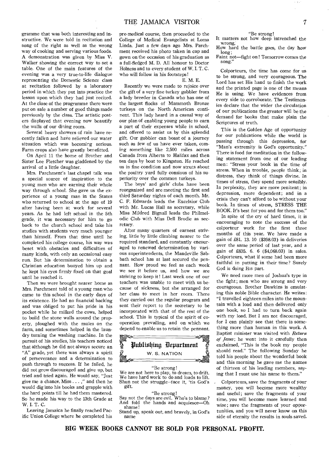gramme that was both interesting and instructive. We were told in recitation and song of the right as well as the wrong way of cooking and serving various foods. A demonstration was given by Miss V. Walker showing the correct way to set a table. One of the main features of the evening was a very true-to-life dialogue representing the Domestic Science class at recitation followed by a laboratory period in which they put into practice the lesson upon which they had just recited. At the close of the programme there were put on sale a number of good things made previously by the class. The artistic posters displayed that evening now beautify the walls of our dining room.

Several heavy showers of rain have recently fallen and have relieved our water situation which was becoming serious. Farm crops also have greatly benefitted.

On April 11 the home of Brother and Sister Lee Fletcher was gladdened by the arrival of a little daughter.

Mrs. Parchment's last chapel talk was a special source of inspiration to the young men who are earning their whole way through school. She gave us the experience of a young man in the States who returned to school at the age of 19 after having been at work for several years. As he had left school in the 5th grade, it was necessary for him to go back to the church school and take his studies with students very much younger than himself. From that time until he completed his college course, his way was beset with obstacles and difficulties of many kinds, with only an occasional easy run. But his determination to obtain a Christian education buoyed him up and he kept his eyes firmly fixed on that goal until he reached it.

Then we were brought nearer home as Mrs. Parchment told of a young man who came to this school in the early days of its existence. He had no financial backing and was obliged to put his pride in his pocket while he milked the cows, helped to build the stone walls around the property, ploughed with the mules on the farm, and sometimes helped in the laundry turning the washing machine. In the pursuit of his studies, his teachers noticed that although he did not always secure an "A" grade, yet there was always a spirit of perseverance and a determination to push through to success. If he failed, he did not grow discouraged and give up, but tried and tried again. He would say, "Just give me a chance, Miss . . . ," and then he would dig into his books and grapple with the hard points till he had them mastered. So he made his way to the 13th Grade at W. I. T. C.

Leaving Jamaica he finally reached Pacific Union College where he completed his pre-medical course, then proceeded to the College of Medical Evangelists at Loma Linda. Just a few days ago Mrs. Parchment received his photo taken in cap and gown on the occasion of his graduation as a full-fledged M. D. All honour to Doctor Holness and to every student of W. I. T. C. who will follow in his footsteps!

#### E. M. E.

Recently we were made to rejoice over the gift of a very fine turkey gobbler from a lady breeder in Canada who has one of the largest flocks of Mammoth Bronze turkeys on the North American continent. This lady heard in a casual way of our plan of enabling young people to earn a part of their expenses while in school, and offered to assist us by this splendid gift. Our gobbler can boast of a journey such as few of us have ever taken, coming something like 2,500 miles across Canada from Alberta to Halifax and then ten days by boat to Kingston. He reached us in fine condition and now struts about the poultry yard fully consious of his superiority over the common turkeys.

The boys' and girls' clubs have been reorganized and are meeting the first and third Saturday nights of each month. Mr. C. F. Edwards leads the Excelsior Club with Mr. Lucas Hall as secretary, while Miss Mildred Bignall leads the Philmelodic Club with Miss Dell Brodie as secretary.

After many quarters of earnest striving, little by little climbing nearer to the required standard, and constantly encouraged to renewed determination by various superintendents, the Mandeville Sabbath school has at last secured the pennant. How proud we feel as each week we see it before us, and how we are striving to keep it! Last week one of our teachers was unable to meet with us because of sickness, but she arranged for her class to meet in her room. There they carried out the regular program and sent their report to the secretary to be incorporated with that of the rest of the school. This is typical of the spirit of cooperation prevailing, and on which we depend to enable us to retain the pennant.



# "Be strong!

We are not here to play, to dream, to drift. We have hard work to do and loads to lift. Shun not the struggle--face it, 'tis God's gift.

"Be strong!

Say not the days are evil. Who's to blame ? And fold the hands and acquiesce—Oh shame!

Stand up, speak out, and bravely, in God's name

"Be strong!

It matters not how deep intrenched the wrong,

How hard the battle goes, the day how  $l$ ong  $\cdot$ 

Faint not—fight on ! Tomorrow comes the song."

Colporteurs, the time has come for us to be strong, and very courageous. The Lord has set His hand to finish the work and the printed page is one of the means He is using. We have evidences from every side to corroborate. The Testimonies declare that the wider the circulation of our publications the greater will be the demand for books that make plain the Scriptures of truth.

This is the Golden Age of opportunity for our publications while the world is passing through this depression, for "Man's extremity is God's opportunity." There is food for meditation in the following statement from one of our leading men: "Stress your book in the time of stress. When in trouble, people think; in distress, they think of things divine. In times of stress, they spend more sensibly. In perplexity, they are more penitent; in depression, more dependent; and in a crisis they can't afford to be without your book. In times of stress, STRESS THE BOOK. It's best for you and for them too."

In spite of the cry of hard times, it is encouraging to note the success of the colporteur work for the first three months of this year. We have made a gain of £81. 13. 10 (\$398.03) in deliveries over the same period of last year, and a gain of £835. 6. 6 (\$4,068.03) in sales. Colporteurs, what if some had been more faithful in putting in their time? Surely God is doing His part.

We need more men of Joshua's type in the fight ; men who are strong and very courageous. Brother Dawkins is emulating this noble Bible character. He writes: "I travelled eighteen miles into the mountain with a load and then delivered only one book, so I had to turn back again with my load. But I am not discouraged, for I can plainly see that there is something more than human in this work. A Baptist minister was visited with *Return of Jesus;* he went into it carefully then exclaimed, "This is the book my people should read." The following Sunday he told his people about the wonderful book and this morning he gave me the names of thirteen of his leading members, saying that I must use his name to them."

Colporteurs, save the fragments of your money, you will become more wealthy and useful; save the fragments of your time, you will become more learned and wise; save the fragments of your opportunities, and you will never know on this side of eternity the results in souls saved.

BIG WEEK BOOKS CANNOT BE SOLD FOR PERSONAL PROFIT.

ing an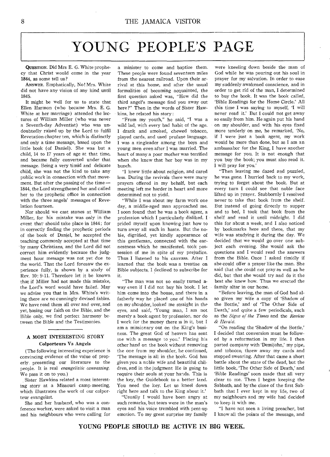# YOUNG PEOPLE'S PAGE

QUESTION. Did Mrs E. G. White prophecy that Christ would come in the year 1844, as some tell us?

ANSWER. Emphatically, No! Mrs. White did not have any vision of any kind until 1845.

It might be well for us to state that Ellen Harmon (who became Mrs. E. G. White at her marriage) attended the lectures of William Miller (who was never a Seventh-day Adventist) who was undoubtedly raised up by the Lord to fulfil Revetation chapter ten, which is distinctly and only a time message, based upon the little book (of Daniel). She was but a child, 14 to 17 years of age at that time, and became fully converted under that message. Being a very timid and delicate child, she was not the kind to take any public work in connection with that movement. But after the passing of the time — 1844, the Lord strengthened her and called her to the prophetic office in connection with the three angels' messages of Revelation fourteen.

Nor should we cast stones at William Miller, for his mistake was only in the event that' should take place in 1844; for in correctly finding the prophetic periods of the book of Daniel, he accepted the teaching commonly accepted at that time by many Christians, and the Lord did not correct him evidently because the judgment hour message was not yet due to the world. That the Lord foresaw the experience fully, is shown by a study of Rev. 10: 9-11. Therefore let it be known that if Miller had not made this mistake, the Lord's word would have failed. May we advise you that in Mrs. White's writing there are no cunningly devised fables. We have read them all over and over, and yet, basing our faith on the Bible, and the Bible only, we find perfect harmony between the Bible and the Testimonies.

# A MOST INTERESTING STORY Colporteurs Vs Angels

(The following interesting experience is convincing evidence of the value of properly presenting our literature to the people. It is real *evangelistic canvassing.*  We pass it on to you.)

Sister Hawkins related a most interesting story at a Missouri camp-meeting, which illustrates the work of our colporteur evangelist.

She and her husband, who was a conference worker, were asked to visit a man and his neighbours who were calling for

a minister to come and baptize them. These people were found seventeen miles from the nearest railroad. Upon their arrival at this home, and after the usual formalities of becoming acquainted, the first question asked was, "How did the third angel's message find you away out here ?" Then in the words of Sister Hawkins, he related his story:

"From my youth," he said, "I was a wild lad, with every bad habit of the age. I drank and smoked, chewed tobacco, played cards, and used profane language. I was a ringleader among the boys and young men even after I was married. The heart of many a poor mother was terrified when she knew that her boy was in my bunch.

"I knew little about religion, and cared less. During the revivals there were many prayers offered in my behalf, but each meeting left me harder in heart and more determined not to yield.

"While I was about my farm work one day, a middle-aged man approached me. I soon found that he was a book agent, a profession which I particularly disliked. I prided myself upon knowing just how to turn away all such in haste. But the noble, dignified, yet kindly appearance of this gentleman, connected with the earnestness which he manifested, took possession of me in spite of my prejudice. Thus I listened to his canvass. After I learned that the book was a treatise on Bible subjects, I declined to subscribe for it.

"The man was not so easily turned away even if I did not buy his book. I let him come into the house, and there in a fatherly way he placed one of his hands on my shoulder, looked me straight in the eyes, and said, 'Young man, I am not merely a book agent by profession, nor do I work for the money there is in it, but I am a missionary out on the King's business. The great God of heaven has sent me with a message to you.' Placing his other hand on the book without removing the one from my shoulder, he continued, `The message is all in the book. God has given you a noble wife and beautiful children, and in the judgment He is going to require their souls at your hands. This is the key, the Guidebook to a better land. You need the key. Let us kneel down right here and talk to the King about it.'

"Usually I would have been angry at such remarks, but tears were in the man's eyes and his voice trembled with pent-up emotion. To my great surprise my family

were kneeling down beside the man of God while he was pouring out his soul in prayer for my salvation. In order to ease my suddenly awakened conscience, and in order to get rid of the man, I determined to buy the book. It was the book called, `Bible Readings for the Home Circle.' All this time I was saying to myself, 'I will never read it.' But I could not get away so easily from him. He again put his hand on my shoulder, and with his eyes fixed more tenderly on me, he remarked, 'No, if I were just a book agent, my work would be more than done, but as I am an ambassabor for the King, I have another message for you. It is not enough that you buy the book; you must also read it. I will pray for you.'

"Then leaving me dazed and puzzled, he was gone. I hurried back to my work, trying to forget about the book. But at every turn I could see that noble face lifted up in prayer. Stubbornly I resolved never to take that book from the shelf. But instead of going directly to supper and to bed, I took that book from the shelf and read it until midnight. I did this for about a week, and I also noticed by bookmarks here and there, that my wife was studying it during the day. We decided that we would go over one subject each evening. She would ask the questions and I would read the answers from the Bible. Once I asked timidly if she could offer a prayer like the man. She said that she could not pray as well as he did, but that she would try and do it the best she knew how. Thus we erected the family altar in our home.

"Before leaving, the man of God had also given my wife a copy of 'Shadow of the Bottle,' and of 'The Other Side of Death,' and quite a few periodicals, such as the *Signs of the Times* and the *Review & Herald.* 

"On reading the 'Shadow of the Bottle,' I decided that conversion must be followed by a reformation in my life. I then parted company with 'Demijohn,' my pipe, and tobacco, threw away my cards and stopped swearing. After that came a short battle about the state of the dead, but the little book, 'The Other Side of Death,' and `Bible Readings' soon made that all very clear to me. Then I began keeping the Sabbath, and by the close of the first Sabbath that I ever kept in my life, two of my neighbours and my wife had decided to keep it with me.

"I have not seen a living preacher, but I know all the points of the message, and

YOUNG PEOPLE SHOULD BE ACTIVE IN BIG WEEK.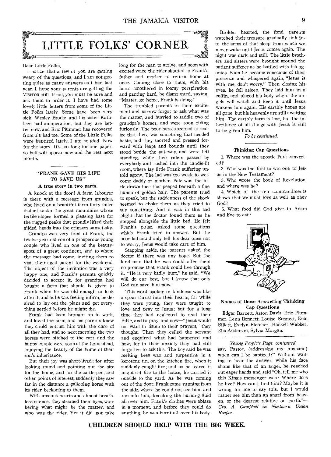# LITTLE FOLKS' CORNER

#### Dear Little Folks,

I notice that a few of you are getting weary of the questions, and I am not getting quite as many answers as I had last year. I hope your parents are getting the VISITOR still. If not, you must be sure and ask them to order it. I have had some lovely little letters from some of the Little Folks lately. Some have been very sick. Wesley Brodie and his sister Kathleen had an operation, but they are better now, and Eric Plummer has recovered from his bad toe. Some of the Little Folks were baptized lately, I am so glad. Now for the story. It's too long for one paper, so half will appear now and the rest next month.

# "FRANK GAVE HIS LIFE TO SAVE US"

#### A true story in two parts.

A knock at the door ! A farm labourer is there with a message from grandpa, who lived on a beautiful farm forty miles distant under the great mountains whose fertile slopes formed a pleasing base for the rugged peaks that proudly lifted their gilded heads into the crimson sunset-sky.

Grandpa was very fond of Frank, the twelve year old son of a prosperous young couple who lived on one of the beautyspots of a great continent, and to whom the message had come, inviting them to visit their aged parent for the week-end. The object of the invitation was a very happy one, and Frank's parents quickly decided to accept it, for grandpa had bought a farm that should be given to Frank when he was old enough to look after it, and as he was feeling infirm, he desired to lay out the plans and get everything settled before he might die.

Frank had been brought up to work, and loved the farm, and his parents knew they could entrust him with the care of all they had, and so next morning the two horses were hitched to the cart, and the happy couple were soon at the homestead, enjoying the beauty of the home of their son's inheritance.

But their joy was short-lived ; for after looking round and pointing out the site for the home, and for the cattle-pen, and other points of interest, suddenly they saw far in the distance a galloping horse with its rider beckoning to them.

With anxious hearts and almost breathless silence, they strained their eyes, wonbering what might be the matter, and who was the rider. Yet it did not take long for the man to arrive, and soon with excited voice the rider shouted to Frank's father and mother to return home at once. Coming close to them, with his horse smothered in foamy perspiration, and panting hard, he dismounted, saying, "Master, go home, Frank is dying."

The troubled parents in their excitement and sorrow forgot to ask what was the matter, and hurried to saddle two of grandpa's horses, and were soon riding furiously. The poor horses seemed to realize that there was something that needed haste, and they snorted and pressed forward with leaps and bounds until they stood beside the gateway, and were left standing, while their riders passed by everybody and rushed into the candle-lit room, where lay little Frank suffering untold agony. The lad was too weak to welcome daddy or mother. Pale was the little drawn face that peeped beneath a fine bunch of golden hair. The parents tried to speak, but the suddenness of the shock seemed to choke them as they tried to say something. And it was in this sad plight that the doctor found them as he stepped alongside the little bed. He felt Frank's pulse, asked some questions which Frank tried to answer. But the poor lad could only tell his dear ones not to worry, Jesus would take care of him.

Stepping aside, the parents asked the doctor if there was any hope. But the kind man that he was could offer them no promise that Frank could live through it. "He is very badly hurt," he said. "We will do our best, but I know that only God can save him now."

This word spoken in kindness was like a spear thrust into their hearts, for while they were young, they were taught to love and pray to Jesus; but for a long time they had neglected to read their Bible, and to pray, and now—"Jesus would not want to listen to their prayers," they thought. Then they called the servant and enquired what had happened and how, for in their anxiety they had still forgotten to ask this. The boy said he was melting bees wax and turpentine in a kerosene tin, on the kitchen fire, when it suddenly caught fire; and as he feared it might set fire to the house, he carried it outside to the yard. As he was coming out of the door, Frank came running from the side, where he could not see him, and ran into him, knocking the burning fluid all over him. Frank's clothes were ablaze in a moment, and before they could do anything, he was burnt all over his body.

Broken hearted, the fond parents watched their treasure gradually sink into the arms of that sleep from which we never wake until Jesus comes again. The night was dark and still. The little brothers and sisters were brought around the patient sufferer as he battled with his agonies. Soon he became conscious of their presence and whispered again, "Jesus is with me, don't worry." Then closing his eyes, he fell asleep. They laid him in a coffin, and placed his body where the angels will watch and keep it until Jesus wakens him again. His earthly hopes are all gone, but his heavenly are still awaiting him. The earthly farm is lost, but the inheritance of all things with Jesus is still to be given him.

*To be continued.* 

#### Thinking Cap Questions

1. Where was the apostle Paul converted?

2. Who was the first to win one to Jesus in the New Testament?

3. Who wrote the book of Revelation, and where was he?

4. Which of the ten commandments shows that we must love as well as obey God?

5. What food did God give to Adam and Eve to eat?



#### Names of those Answering Thinking Cap Questions

Edgar Barnett, Aston Davis, Eric Plummer, Lenn Bennett, Louise Bennett, Enid Billett, Evelyn Fletcher, Haskell Webber, Elis Anderson, Sylvia Morgan.

*Young People's Page, continued.*  say, Pastor, (addressing my husband) when can I be baptized?" Without waiting to hear the answer, while his face shone like that of an angel, he reached out eager hands and said "Oh, tell me who this King's messenger was? Where does he live? How can I find him? Maybe it is wrong for me to say this, but I would rather see him than an angel from heaven, or the dearest relative on earth."— *Geo. A. Campbell in Northern Union Reaper.* 

**CHILDREN SHOULD HELP WITH THE BIG WEEK.**